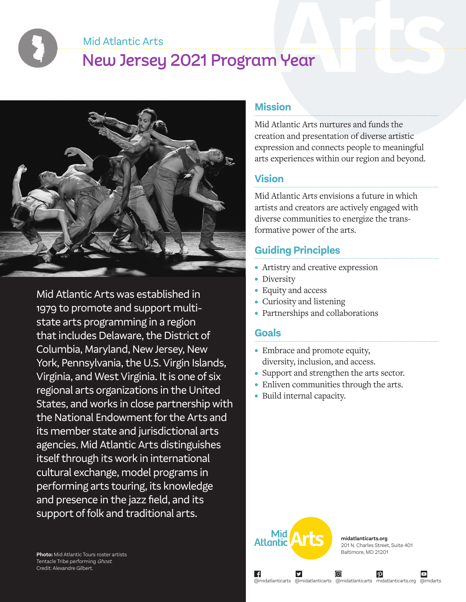Mid Atlantic Arts

# New Jersey 2021 Program Year



Mid Atlantic Arts was established in 1979 to promote and support multistate arts programming in a region that includes Delaware, the District of Columbia, Maryland, New Jersey, New York, Pennsylvania, the U.S. Virgin Islands, Virginia, and West Virginia. It is one of six regional arts organizations in the United States, and works in close partnership with the National Endowment for the Arts and its member state and jurisdictional arts agencies. Mid Atlantic Arts distinguishes itself through its work in international cultural exchange, model programs in performing arts touring, its knowledge and presence in the jazz field, and its support of folk and traditional arts.

#### **Mission**

Mid Atlantic Arts nurtures and funds the creation and presentation of diverse artistic expression and connects people to meaningful arts experiences within our region and beyond.

#### **Vision**

Mid Atlantic Arts envisions a future in which artists and creators are actively engaged with diverse communities to energize the transformative power of the arts.

# **Guiding Principles**

- Artistry and creative expression
- Diversity
- Equity and access
- Curiosity and listening
- Partnerships and collaborations

#### **Goals**

∣ f

- Embrace and promote equity, diversity, inclusion, and access.
- Support and strengthen the arts sector.
- Enliven communities through the arts.
- Build internal capacity.



**midatlanticarts.org** 201 N. Charles Street, Suite 401 Baltimore, MD 21201

 $\boldsymbol{\varphi}$ 

@midatlanticarts @midatlanticarts @midatlanticarts midatlanticarts.org @midarts

ල)

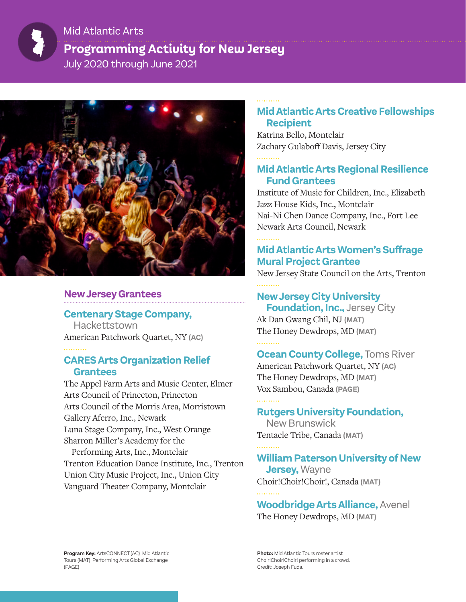# **Programming Activity for New Jersey** July 2020 through June 2021 Mid Atlantic Arts



#### **New Jersey Grantees**

#### **Centenary Stage Company,**

Hackettstown American Patchwork Quartet, NY **(AC)**

#### **CARES Arts Organization Relief Grantees**

The Appel Farm Arts and Music Center, Elmer Arts Council of Princeton, Princeton Arts Council of the Morris Area, Morristown Gallery Aferro, Inc., Newark Luna Stage Company, Inc., West Orange Sharron Miller's Academy for the

Performing Arts, Inc., Montclair Trenton Education Dance Institute, Inc., Trenton Union City Music Project, Inc., Union City Vanguard Theater Company, Montclair

#### **Mid Atlantic Arts Creative Fellowships Recipient**

Katrina Bello, Montclair Zachary Gulaboff Davis, Jersey City

#### **Mid Atlantic Arts Regional Resilience Fund Grantees**

Institute of Music for Children, Inc., Elizabeth Jazz House Kids, Inc., Montclair Nai-Ni Chen Dance Company, Inc., Fort Lee Newark Arts Council, Newark

### **Mid Atlantic Arts Women's Suffrage Mural Project Grantee**

New Jersey State Council on the Arts, Trenton

#### **New Jersey City University**

**Foundation, Inc., Jersey City** Ak Dan Gwang Chil, NJ **(MAT)** The Honey Dewdrops, MD **(MAT)**

#### **Ocean County College, Toms River** American Patchwork Quartet, NY **(AC)** The Honey Dewdrops, MD **(MAT)** Vox Sambou, Canada **(PAGE)**

#### **Rutgers University Foundation,**

New Brunswick Tentacle Tribe, Canada **(MAT)**

## **William Paterson University of New**

 **Jersey,** Wayne Choir!Choir!Choir!, Canada **(MAT)**

**Woodbridge Arts Alliance,** Avenel The Honey Dewdrops, MD **(MAT)**

**Program Key:** ArtsCONNECT (AC) Mid Atlantic Tours (MAT) Performing Arts Global Exchange (PAGE)

**Photo:** Mid Atlantic Tours roster artist Choir!Choir!Choir! performing in a crowd. Credit: Joseph Fuda.